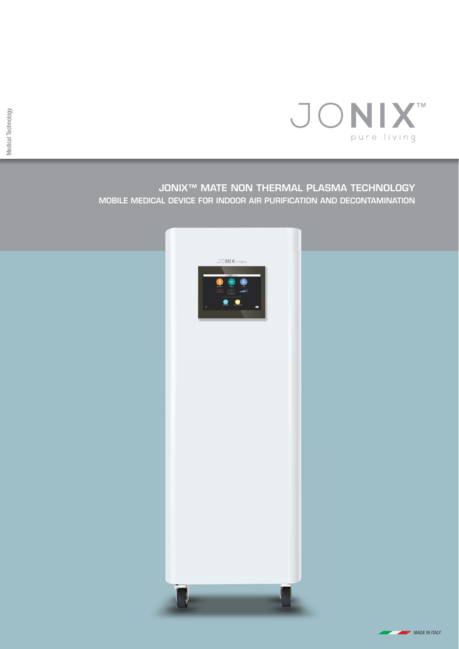

## **JONIX™ MATE NON THERMAL PLASMA TECHNOLOGY MOBILE MEDICAL DEVICE FOR INDOOR AIR PURIFICATION AND DECONTAMINATION**



**MADE IN ITALY**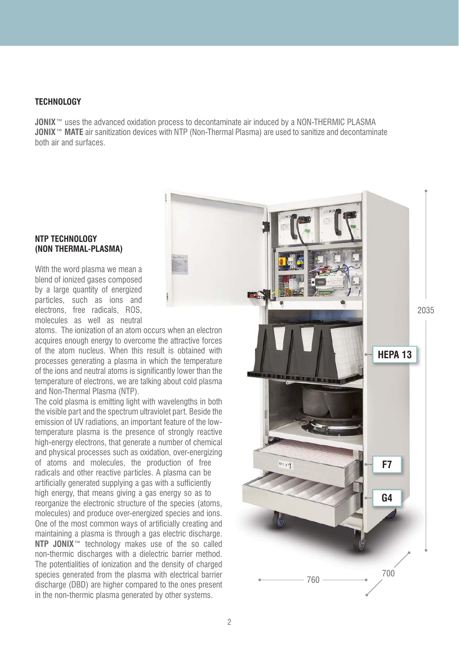#### **TECHNOLOGY**

**JONIX**<sup>™</sup> uses the advanced oxidation process to decontaminate air induced by a NON-THERMIC PLASMA **JONIX**™ **MATE** air sanitization devices with NTP (Non-Thermal Plasma) are used to sanitize and decontaminate both air and surfaces.

#### **NTP TECHNOLOGY (NON THERMAL-PLASMA)**

With the word plasma we mean a blend of ionized gases composed by a large quantity of energized particles, such as ions and electrons, free radicals, ROS, molecules as well as neutral

atoms. The ionization of an atom occurs when an electron acquires enough energy to overcome the attractive forces of the atom nucleus. When this result is obtained with processes generating a plasma in which the temperature of the ions and neutral atoms is significantly lower than the temperature of electrons, we are talking about cold plasma and Non-Thermal Plasma (NTP).

The cold plasma is emitting light with wavelengths in both the visible part and the spectrum ultraviolet part. Beside the emission of UV radiations, an important feature of the lowtemperature plasma is the presence of strongly reactive high-energy electrons, that generate a number of chemical and physical processes such as oxidation, over-energizing of atoms and molecules, the production of free radicals and other reactive particles. A plasma can be artificially generated supplying a gas with a sufficiently high energy, that means giving a gas energy so as to reorganize the electronic structure of the species (atoms, molecules) and produce over-energized species and ions. One of the most common ways of artificially creating and maintaining a plasma is through a gas electric discharge. **NTP JONIX**™ technology makes use of the so called non-thermic discharges with a dielectric barrier method. The potentialities of ionization and the density of charged species generated from the plasma with electrical barrier discharge (DBD) are higher compared to the ones present in the non-thermic plasma generated by other systems.

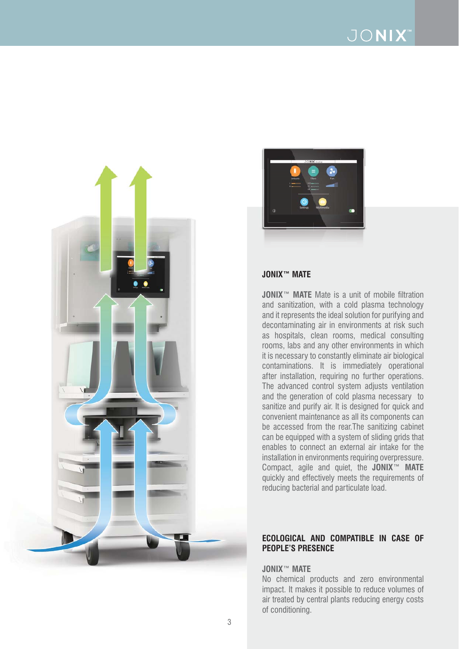# JONIX<sup>®</sup>





#### **JONIX™ MATE**

**JONIX**™ **MATE** Mate is a unit of mobile filtration and sanitization, with a cold plasma technology and it represents the ideal solution for purifying and decontaminating air in environments at risk such as hospitals, clean rooms, medical consulting rooms, labs and any other environments in which it is necessary to constantly eliminate air biological contaminations. It is immediately operational after installation, requiring no further operations. The advanced control system adjusts ventilation and the generation of cold plasma necessary to sanitize and purify air. It is designed for quick and convenient maintenance as all its components can be accessed from the rear.The sanitizing cabinet can be equipped with a system of sliding grids that enables to connect an external air intake for the installation in environments requiring overpressure. Compact, agile and quiet, the **JONIX**™ **MATE** quickly and effectively meets the requirements of reducing bacterial and particulate load.

#### **ECOLOGICAL AND COMPATIBLE IN CASE OF PEOPLE'S PRESENCE**

#### **JONIX**™ **MATE**

No chemical products and zero environmental impact. It makes it possible to reduce volumes of air treated by central plants reducing energy costs of conditioning.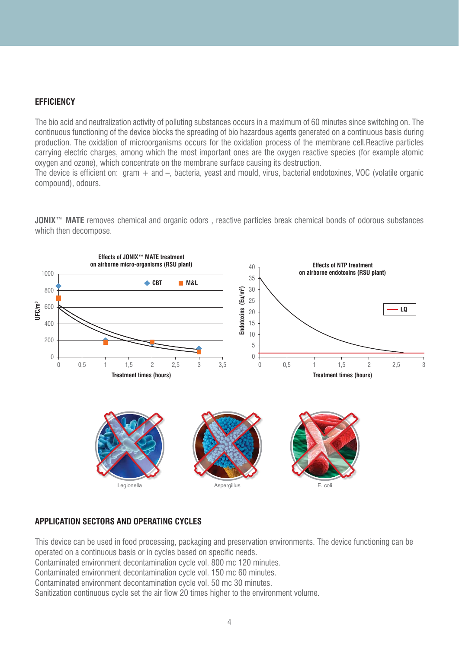### **EFFICIENCY**

The bio acid and neutralization activity of polluting substances occurs in a maximum of 60 minutes since switching on. The continuous functioning of the device blocks the spreading of bio hazardous agents generated on a continuous basis during production. The oxidation of microorganisms occurs for the oxidation process of the membrane cell.Reactive particles carrying electric charges, among which the most important ones are the oxygen reactive species (for example atomic oxygen and ozone), which concentrate on the membrane surface causing its destruction.

The device is efficient on: gram  $+$  and  $-$ , bacteria, yeast and mould, virus, bacterial endotoxines, VOC (volatile organic compound), odours.

**JONIX**™ **MATE** removes chemical and organic odors , reactive particles break chemical bonds of odorous substances which then decompose.



#### **APPLICATION SECTORS AND OPERATING CYCLES**

This device can be used in food processing, packaging and preservation environments. The device functioning can be operated on a continuous basis or in cycles based on specific needs. Contaminated environment decontamination cycle vol. 800 mc 120 minutes. Contaminated environment decontamination cycle vol. 150 mc 60 minutes. Contaminated environment decontamination cycle vol. 50 mc 30 minutes. Sanitization continuous cycle set the air flow 20 times higher to the environment volume.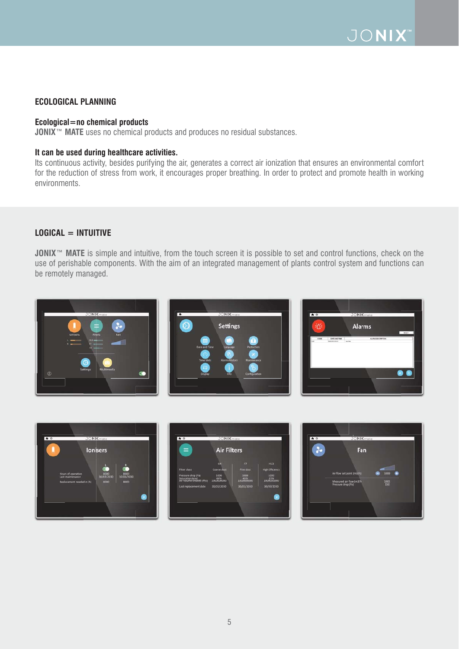## **ECOLOGICAL PLANNING**

#### **Ecological=no chemical products**

**JONIX**™ **MATE** uses no chemical products and produces no residual substances.

#### **It can be used during healthcare activities.**

Its continuous activity, besides purifying the air, generates a correct air ionization that ensures an environmental comfort for the reduction of stress from work, it encourages proper breathing. In order to protect and promote health in working environments.

#### **LOGICAL = INTUITIVE**

**JONIX<sup>™</sup> MATE** is simple and intuitive, from the touch screen it is possible to set and control functions, check on the use of perishable components. With the aim of an integrated management of plants control system and functions can be remotely managed.







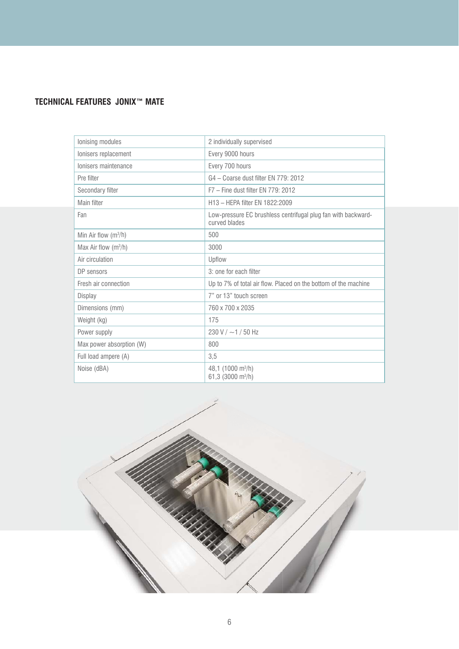# **TECHNICAL FEATURES JONIX™ MATE**

| lonising modules         | 2 individually supervised                                                      |
|--------------------------|--------------------------------------------------------------------------------|
| Ionisers replacement     | Every 9000 hours                                                               |
| Ionisers maintenance     | Every 700 hours                                                                |
| Pre filter               | G4 - Coarse dust filter EN 779: 2012                                           |
| Secondary filter         | F7 - Fine dust filter EN 779: 2012                                             |
| Main filter              | H13 - HFPA filter FN 1822:2009                                                 |
| Fan                      | Low-pressure EC brushless centrifugal plug fan with backward-<br>curved blades |
| Min Air flow $(m^3/h)$   | 500                                                                            |
| Max Air flow $(m^3/h)$   | 3000                                                                           |
| Air circulation          | Upflow                                                                         |
| DP sensors               | 3: one for each filter                                                         |
| Fresh air connection     | Up to 7% of total air flow. Placed on the bottom of the machine                |
| Display                  | 7" or 13" touch screen                                                         |
| Dimensions (mm)          | 760 x 700 x 2035                                                               |
| Weight (kg)              | 175                                                                            |
| Power supply             | 230 V / $\sim$ 1 / 50 Hz                                                       |
| Max power absorption (W) | 800                                                                            |
| Full load ampere (A)     | 3,5                                                                            |
| Noise (dBA)              | 48,1 (1000 m <sup>3</sup> /h)<br>61,3 (3000 m <sup>3</sup> /h)                 |

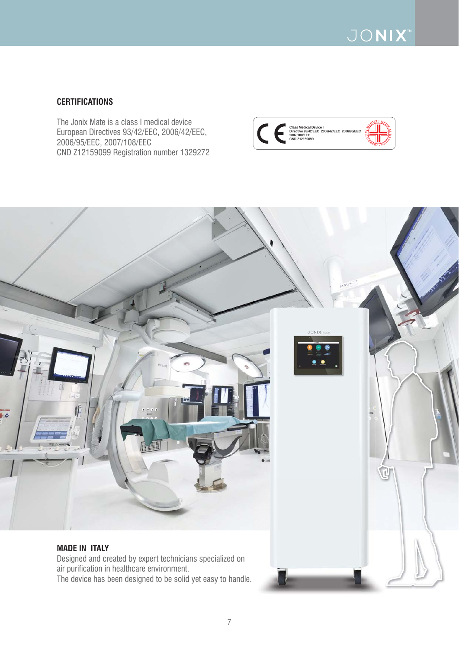

### **CERTIFICATIONS**

The Jonix Mate is a class I medical device European Directives 93/42/EEC, 2006/42/EEC, 2006/95/EEC, 2007/108/EEC CND Z12159099 Registration number 1329272